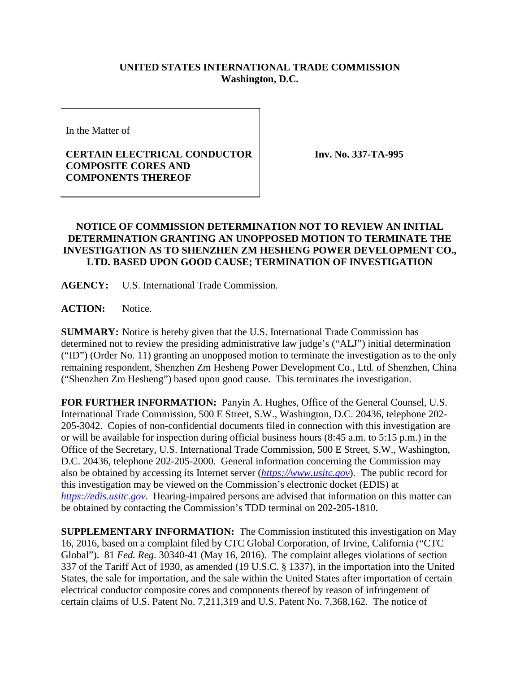## **UNITED STATES INTERNATIONAL TRADE COMMISSION Washington, D.C.**

In the Matter of

## **CERTAIN ELECTRICAL CONDUCTOR COMPOSITE CORES AND COMPONENTS THEREOF**

**Inv. No. 337-TA-995**

## **NOTICE OF COMMISSION DETERMINATION NOT TO REVIEW AN INITIAL DETERMINATION GRANTING AN UNOPPOSED MOTION TO TERMINATE THE INVESTIGATION AS TO SHENZHEN ZM HESHENG POWER DEVELOPMENT CO., LTD. BASED UPON GOOD CAUSE; TERMINATION OF INVESTIGATION**

**AGENCY:** U.S. International Trade Commission.

ACTION: Notice.

**SUMMARY:** Notice is hereby given that the U.S. International Trade Commission has determined not to review the presiding administrative law judge's ("ALJ") initial determination ("ID") (Order No. 11) granting an unopposed motion to terminate the investigation as to the only remaining respondent, Shenzhen Zm Hesheng Power Development Co., Ltd. of Shenzhen, China ("Shenzhen Zm Hesheng") based upon good cause. This terminates the investigation.

**FOR FURTHER INFORMATION:** Panyin A. Hughes, Office of the General Counsel, U.S. International Trade Commission, 500 E Street, S.W., Washington, D.C. 20436, telephone 202- 205-3042. Copies of non-confidential documents filed in connection with this investigation are or will be available for inspection during official business hours (8:45 a.m. to 5:15 p.m.) in the Office of the Secretary, U.S. International Trade Commission, 500 E Street, S.W., Washington, D.C. 20436, telephone 202-205-2000. General information concerning the Commission may also be obtained by accessing its Internet server (*[https://www.usitc.gov](https://www.usitc.gov/)*). The public record for this investigation may be viewed on the Commission's electronic docket (EDIS) at *[https://edis.usitc.gov](https://edis.usitc.gov/)*. Hearing-impaired persons are advised that information on this matter can be obtained by contacting the Commission's TDD terminal on 202-205-1810.

**SUPPLEMENTARY INFORMATION:** The Commission instituted this investigation on May 16, 2016, based on a complaint filed by CTC Global Corporation, of Irvine, California ("CTC Global"). 81 *Fed. Reg*. 30340-41 (May 16, 2016). The complaint alleges violations of section 337 of the Tariff Act of 1930, as amended (19 U.S.C. § 1337), in the importation into the United States, the sale for importation, and the sale within the United States after importation of certain electrical conductor composite cores and components thereof by reason of infringement of certain claims of U.S. Patent No. 7,211,319 and U.S. Patent No. 7,368,162. The notice of